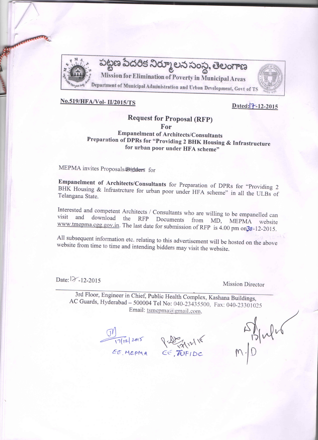

# No.519/HFA/Vol- II/2015/TS

# Dated: 7-12-2015

# **Request for Proposal (RFP)** For

# **Empanelment of Architects/Consultants** Preparation of DPRs for "Providing 2 BHK Housing & Infrastructure for urban poor under HFA scheme"

MEPMA invites Proposals/Bidders for

Empanelment of Architects/Consultants for Preparation of DPRs for "Providing 2 BHK Housing & Infrastrcture for urban poor under HFA scheme" in all the ULBs of Telangana State.

Interested and competent Architects / Consultants who are willing to be empanelled can download the RFP Documents from MD, visit and **MEPMA** website www.tmepma.cgg.gov.in. The last date for submission of RFP is 4.00 pm on 30-12-2015.

All subsequent information etc. relating to this advertisement will be hosted on the above website from time to time and intending bidders may visit the website.

Date: 12-12-2015

**Mission Director** 

3rd Floor, Engineer in Chief, Public Health Complex, Kashana Buildings, AC Guards, Hyderabad - 500004 Tel No: 040-23435500, Fax: 040-23301025 Email: tsmepma@gmail.com,

OM<br>17/12/2015 July 11/18<br>EE MEPMA EE AUFIDE

 $M_{\rm pl}$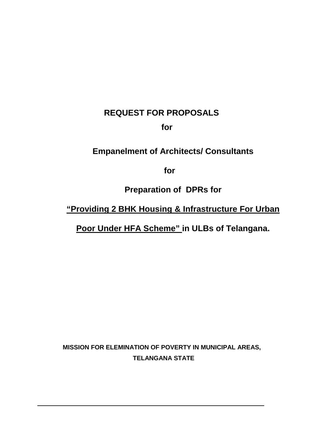# **REQUEST FOR PROPOSALS**

**for**

# **Empanelment of Architects/ Consultants**

**for**

**Preparation of DPRs for**

**"Providing 2 BHK Housing & Infrastructure For Urban**

**Poor Under HFA Scheme" in ULBs of Telangana.**

**MISSION FOR ELEMINATION OF POVERTY IN MUNICIPAL AREAS, TELANGANA STATE**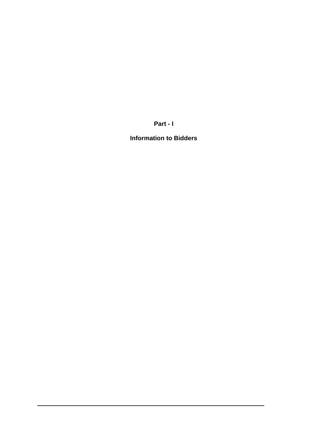**Part - I**

**Information to Bidders**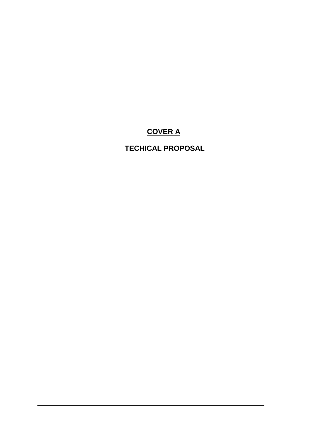# **COVER A**

# **TECHICAL PROPOSAL**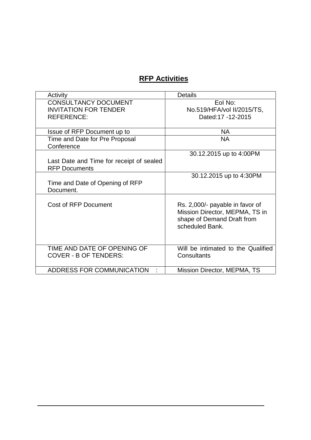# **RFP Activities**

| Activity                                                         | <b>Details</b>                                                                                                     |
|------------------------------------------------------------------|--------------------------------------------------------------------------------------------------------------------|
| <b>CONSULTANCY DOCUMENT</b><br><b>INVITATION FOR TENDER</b>      | Eol No:<br>No.519/HFA/vol II/2015/TS,                                                                              |
| <b>REFERENCE:</b>                                                | Dated:17 -12-2015                                                                                                  |
| Issue of RFP Document up to                                      | NA.                                                                                                                |
| Time and Date for Pre Proposal<br>Conference                     | <b>NA</b>                                                                                                          |
| Last Date and Time for receipt of sealed<br><b>RFP Documents</b> | 30.12.2015 up to 4:00PM                                                                                            |
| Time and Date of Opening of RFP<br>Document.                     | 30.12.2015 up to 4:30PM                                                                                            |
| <b>Cost of RFP Document</b>                                      | Rs. 2,000/- payable in favor of<br>Mission Director, MEPMA, TS in<br>shape of Demand Draft from<br>scheduled Bank. |
| TIME AND DATE OF OPENING OF<br><b>COVER - B OF TENDERS:</b>      | Will be intimated to the Qualified<br>Consultants                                                                  |
| ADDRESS FOR COMMUNICATION                                        | Mission Director, MEPMA, TS                                                                                        |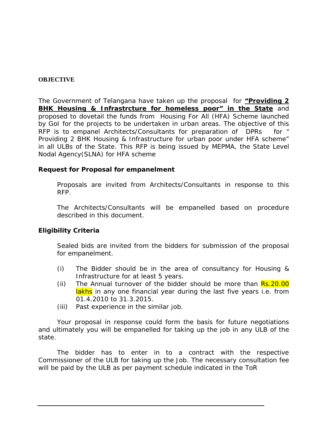## **OBJECTIVE**

The Government of Telangana have taken up the proposal for **"Providing 2 BHK Housing & Infrastrcture for homeless poor" in the State** and proposed to dovetail the funds from Housing For All (HFA) Scheme launched by GoI for the projects to be undertaken in urban areas. The objective of this RFP is to empanel Architects/Consultants for preparation of DPRs for " Providing 2 BHK Housing & Infrastructure for urban poor under HFA scheme" in all ULBs of the State. This RFP is being issued by MEPMA, the State Level Nodal Agency(SLNA) for HFA scheme

**Request for Proposal for empanelment**

Proposals are invited from Architects/Consultants in response to this RFP.

The Architects/Consultants will be empanelled based on procedure described in this document.

# **Eligibility Criteria**

Sealed bids are invited from the bidders for submission of the proposal for empanelment.

- (i) The Bidder should be in the area of consultancy for Housing & Infrastructure for at least 5 years.
- (ii) The Annual turnover of the bidder should be more than  $\overline{Rs.20.00}$ lakhs in any one financial year during the last five years i.e. from 01.4.2010 to 31.3.2015.
- (iii) Past experience in the similar job.

Your proposal in response could form the basis for future negotiations and ultimately you will be empanelled for taking up the job in any ULB of the state.<br>The bidder has to enter in to a contract with the respective

Commissioner of the ULB for taking up the Job. The necessary consultation fee will be paid by the ULB as per payment schedule indicated in the ToR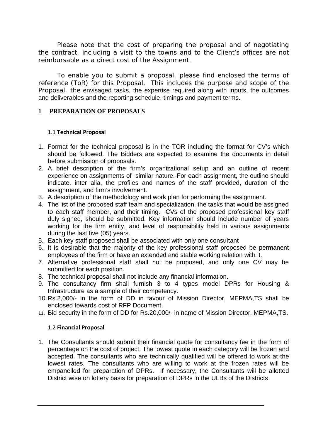Please note that the cost of preparing the proposal and of negotiating the contract, including a visit to the towns and to the Client's offices are not reimbursable as a direct cost of the Assignment.

To enable you to submit a proposal, please find enclosed the terms of reference (ToR) for this Proposal. This includes the purpose and scope of the Proposal, the envisaged tasks, the expertise required along with inputs, the outcomes and deliverables and the reporting schedule, timings and payment terms.

## **1 PREPARATION OF PROPOSALS**

#### 1.1 **Technical Proposal**

- 1. Format for the technical proposal is in the TOR including the format for CV's which should be followed. The Bidders are expected to examine the documents in detail before submission of proposals.
- 2. A brief description of the firm's organizational setup and an outline of recent experience on assignments of similar nature. For each assignment, the outline should indicate, inter alia, the profiles and names of the staff provided, duration of the assignment, and firm's involvement.
- 3. A description of the methodology and work plan for performing the assignment.
- 4. The list of the proposed staff team and specialization, the tasks that would be assigned to each staff member, and their timing. CVs of the proposed professional key staff duly signed, should be submitted. Key information should include number of years working for the firm entity, and level of responsibility held in various assignments during the last five (05) years.
- 5. Each key staff proposed shall be associated with only one consultant
- 6. It is desirable that the majority of the key professional staff proposed be permanent employees of the firm or have an extended and stable working relation with it.
- 7. Alternative professional staff shall not be proposed, and only one CV may be submitted for each position.
- 8. The technical proposal shall not include any financial information.
- 9. The consultancy firm shall furnish 3 to 4 types model DPRs for Housing & Infrastructure as a sample of their competency.
- 10.Rs.2,000/- in the form of DD in favour of Mission Director, MEPMA,TS shall be enclosed towards cost of RFP Document.
- 11. Bid security in the form of DD for Rs.20,000/- in name of Mission Director, MEPMA,TS.

## 1.2 **Financial Proposal**

1. The Consultants should submit their financial quote for consultancy fee in the form of percentage on the cost of project. The lowest quote in each category will be frozen and accepted. The consultants who are technically qualified will be offered to work at the lowest rates. The consultants who are willing to work at the frozen rates will be empanelled for preparation of DPRs. If necessary, the Consultants will be allotted District wise on lottery basis for preparation of DPRs in the ULBs of the Districts.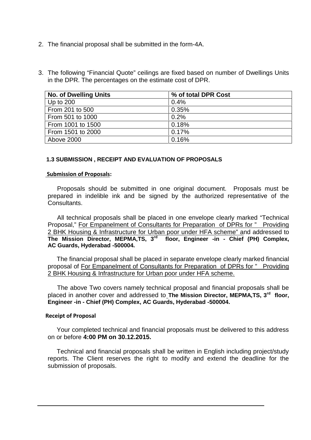- 2. The financial proposal shall be submitted in the form-4A.
- 3. The following "Financial Quote" ceilings are fixed based on number of Dwellings Units in the DPR. The percentages on the estimate cost of DPR.

| <b>No. of Dwelling Units</b> | % of total DPR Cost |
|------------------------------|---------------------|
| Up to $200$                  | 0.4%                |
| From 201 to 500              | 0.35%               |
| From 501 to 1000             | 0.2%                |
| From 1001 to 1500            | 0.18%               |
| From 1501 to 2000            | 0.17%               |
| Above 2000                   | 0.16%               |

#### **1.3 SUBMISSION , RECEIPT AND EVALUATION OF PROPOSALS**

#### **Submission of Proposals:**

Proposals should be submitted in one original document. Proposals must be prepared in indelible ink and be signed by the authorized representative of the Consultants.

All technical proposals shall be placed in one envelope clearly marked "Technical Proposal," For Empanelment of Consultants for Preparation of DPRs for " Providing 2 BHK Housing & Infrastructure for Urban poor under HFA scheme" and addressed to **The Mission Director, MEPMA,TS, 3 rd floor, Engineer -in - Chief (PH) Complex, AC Guards, Hyderabad -500004.**

The financial proposal shall be placed in separate envelope clearly marked financial proposal of For Empanelment of Consultants for Preparation of DPRs for " Providing 2 BHK Housing & Infrastructure for Urban poor under HFA scheme.

The above Two covers namely technical proposal and financial proposals shall be placed in another cover and addressed to **The Mission Director, MEPMA,TS, 3rd floor, Engineer -in - Chief (PH) Complex, AC Guards, Hyderabad -500004.**

#### **Receipt of Proposal**

Your completed technical and financial proposals must be delivered to this address on or before **4:00 PM on 30.12.2015.**

Technical and financial proposals shall be written in English including project/study reports. The Client reserves the right to modify and extend the deadline for the submission of proposals.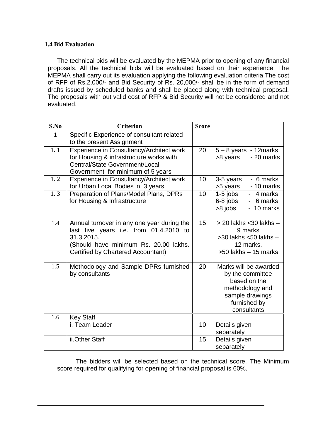#### **1.4 Bid Evaluation**

The technical bids will be evaluated by the MEPMA prior to opening of any financial proposals. All the technical bids will be evaluated based on their experience. The MEPMA shall carry out its evaluation applying the following evaluation criteria.The cost of RFP of Rs.2,000/- and Bid Security of Rs. 20,000/- shall be in the form of demand drafts issued by scheduled banks and shall be placed along with technical proposal. The proposals with out valid cost of RFP & Bid Security will not be considered and not evaluated.

| S.No         | <b>Criterion</b>                                                                                                                                                                  | <b>Score</b> |                                                                                                                                |
|--------------|-----------------------------------------------------------------------------------------------------------------------------------------------------------------------------------|--------------|--------------------------------------------------------------------------------------------------------------------------------|
| $\mathbf{1}$ | Specific Experience of consultant related<br>to the present Assignment                                                                                                            |              |                                                                                                                                |
| 1.1          | Experience in Consultancy/Architect work<br>for Housing & infrastructure works with<br>Central/State Government/Local<br>Government for minimum of 5 years                        | 20           | $5 - 8$ years - 12 marks<br>- 20 marks<br>>8 years                                                                             |
| 1.2          | Experience in Consultancy/Architect work<br>for Urban Local Bodies in 3 years                                                                                                     | 10           | - 6 marks<br>3-5 years<br>>5 years - 10 marks                                                                                  |
| 1.3          | Preparation of Plans/Model Plans, DPRs<br>for Housing & Infrastructure                                                                                                            | 10           | $1-5$ jobs<br>- 4 marks<br>6-8 jobs<br>- 6 marks<br>>8 jobs<br>- 10 marks                                                      |
| 1.4          | Annual turnover in any one year during the<br>last five years i.e. from 01.4.2010 to<br>31.3.2015.<br>(Should have minimum Rs. 20.00 lakhs.<br>Certified by Chartered Accountant) | 15           | $>$ 20 lakhs < 30 lakhs $-$<br>9 marks<br>$>$ 30 lakhs $<$ 50 lakhs $-$<br>12 marks.<br>$>50$ lakhs $-15$ marks                |
| 1.5          | Methodology and Sample DPRs furnished<br>by consultants                                                                                                                           | 20           | Marks will be awarded<br>by the committee<br>based on the<br>methodology and<br>sample drawings<br>furnished by<br>consultants |
| 1.6          | <b>Key Staff</b>                                                                                                                                                                  |              |                                                                                                                                |
|              | i. Team Leader                                                                                                                                                                    | 10           | Details given<br>separately                                                                                                    |
|              | ii.Other Staff                                                                                                                                                                    | 15           | Details given<br>separately                                                                                                    |

The bidders will be selected based on the technical score. The Minimum score required for qualifying for opening of financial proposal is 60%.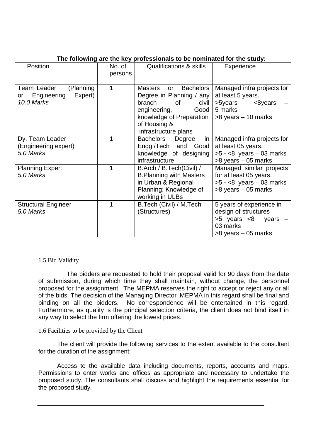| Position                                                               | No. of<br>persons | <b>Qualifications &amp; skills</b>                                                                                                                                                        | Experience                                                                                                          |
|------------------------------------------------------------------------|-------------------|-------------------------------------------------------------------------------------------------------------------------------------------------------------------------------------------|---------------------------------------------------------------------------------------------------------------------|
| Team Leader<br>(Planning<br>Engineering<br>Expert)<br>or<br>10.0 Marks | 1                 | <b>Bachelors</b><br><b>Masters</b><br>or<br>Degree in Planning / any<br>branch<br>of<br>civil<br>engineering,<br>Good<br>knowledge of Preparation<br>of Housing &<br>infrastructure plans | Managed infra projects for<br>at least 5 years.<br>>5years<br><8years<br>5 marks<br>$>8$ years $-10$ marks          |
| Dy. Team Leader<br>(Engineering expert)<br>5.0 Marks                   |                   | in<br>Bachelors<br>Degree<br>Engg./Tech and Good<br>knowledge of designing<br>infrastructure                                                                                              | Managed infra projects for<br>at least 05 years.<br>$>5 - 8$ years $-03$ marks<br>$>8$ years $-05$ marks            |
| <b>Planning Expert</b><br>5.0 Marks                                    | 1                 | B.Arch / B.Tech(Civil) /<br><b>B.Planning with Masters</b><br>in Urban & Regional<br>Planning; Knowledge of<br>working in ULBs                                                            | Managed similar projects<br>for at least 05 years.<br>$>5 - 8$ years $-03$ marks<br>$>8$ years $-05$ marks          |
| <b>Structural Engineer</b><br>5.0 Marks                                | 1                 | B.Tech (Civil) / M.Tech<br>(Structures)                                                                                                                                                   | 5 years of experience in<br>design of structures<br>$>5$ years $<8$ years $-$<br>03 marks<br>$>8$ years $-05$ marks |

## **The following are the key professionals to be nominated for the study:**

#### 1.5.Bid Validity

The bidders are requested to hold their proposal valid for 90 days from the date of submission, during which time they shall maintain, without change, the personnel proposed for the assignment. The MEPMA reserves the right to accept or reject any or all of the bids. The decision of the Managing Director, MEPMA in this regard shall be final and binding on all the bidders. No correspondence will be entertained in this regard. Furthermore, as quality is the principal selection criteria, the client does not bind itself in any way to select the firm offering the lowest prices.

## 1.6 Facilities to be provided by the Client

The client will provide the following services to the extent available to the consultant for the duration of the assignment:

Access to the available data including documents, reports, accounts and maps. Permissions to enter works and offices as appropriate and necessary to undertake the proposed study. The consultants shall discuss and highlight the requirements essential for the proposed study.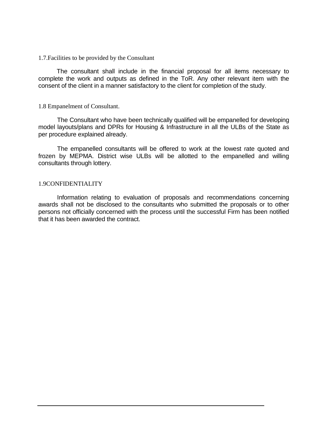1.7.Facilities to be provided by the Consultant

The consultant shall include in the financial proposal for all items necessary to complete the work and outputs as defined in the ToR. Any other relevant item with the consent of the client in a manner satisfactory to the client for completion of the study.

#### 1.8 Empanelment of Consultant.

The Consultant who have been technically qualified will be empanelled for developing model layouts/plans and DPRs for Housing & Infrastructure in all the ULBs of the State as per procedure explained already.

The empanelled consultants will be offered to work at the lowest rate quoted and frozen by MEPMA. District wise ULBs will be allotted to the empanelled and willing consultants through lottery.

#### 1.9CONFIDENTIALITY

Information relating to evaluation of proposals and recommendations concerning awards shall not be disclosed to the consultants who submitted the proposals or to other persons not officially concerned with the process until the successful Firm has been notified that it has been awarded the contract.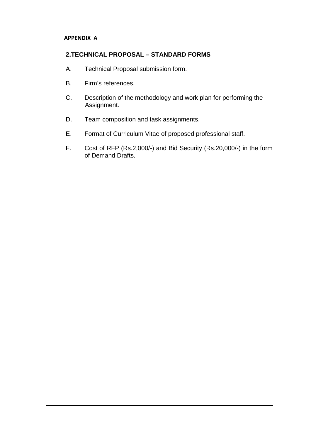## **APPENDIX A**

# **2.TECHNICAL PROPOSAL – STANDARD FORMS**

- A. Technical Proposal submission form.
- B. Firm's references.
- C. Description of the methodology and work plan for performing the Assignment.
- D. Team composition and task assignments.
- E. Format of Curriculum Vitae of proposed professional staff.
- F. Cost of RFP (Rs.2,000/-) and Bid Security (Rs.20,000/-) in the form of Demand Drafts.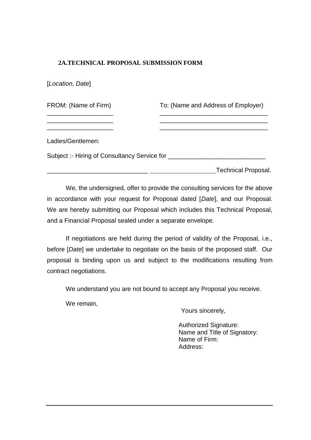# **2A.TECHNICAL PROPOSAL SUBMISSION FORM**

[*Location, Date*]

FROM: (Name of Firm) To: (Name and Address of Employer) \_\_\_\_\_\_\_\_\_\_\_\_\_\_\_\_\_\_\_ \_\_\_\_\_\_\_\_\_\_\_\_\_\_\_\_\_\_\_\_\_\_\_\_\_\_\_\_\_\_\_ \_\_\_\_\_\_\_\_\_\_\_\_\_\_\_\_\_\_\_ \_\_\_\_\_\_\_\_\_\_\_\_\_\_\_\_\_\_\_\_\_\_\_\_\_\_\_\_\_\_\_ \_\_\_\_\_\_\_\_\_\_\_\_\_\_\_\_\_\_\_ \_\_\_\_\_\_\_\_\_\_\_\_\_\_\_\_\_\_\_\_\_\_\_\_\_\_\_\_\_\_\_ Ladies/Gentlemen: Subject :- Hiring of Consultancy Service for \_\_\_\_\_\_\_\_\_\_\_\_\_\_\_\_\_\_\_\_\_\_\_\_\_\_\_\_ \_\_\_\_\_\_\_\_\_\_\_\_\_\_\_\_\_\_\_\_\_\_\_\_\_\_\_\_\_ Technical Proposal.

We, the undersigned, offer to provide the consulting services for the above in accordance with your request for Proposal dated [*Date*], and our Proposal. We are hereby submitting our Proposal which includes this Technical Proposal, and a Financial Proposal sealed under a separate envelope.

If negotiations are held during the period of validity of the Proposal, i.e., before [*Date*] we undertake to negotiate on the basis of the proposed staff. Our proposal is binding upon us and subject to the modifications resulting from contract negotiations.

We understand you are not bound to accept any Proposal you receive.

We remain,

Yours sincerely,

Authorized Signature: Name and Title of Signatory: Name of Firm: Address: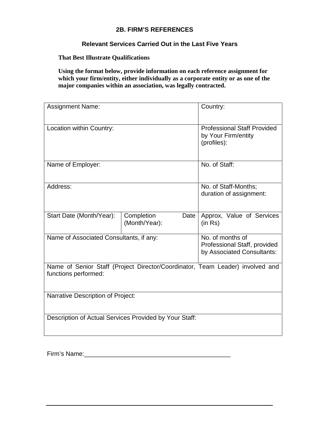# **2B. FIRM'S REFERENCES**

# **Relevant Services Carried Out in the Last Five Years**

**That Best Illustrate Qualifications**

**Using the format below, provide information on each reference assignment for** which your firm/entity, either individually as a corporate entity or as one of the **major companies within an association, was legally contracted.**

| <b>Assignment Name:</b>                  |                                                                                | Country:                                                                      |
|------------------------------------------|--------------------------------------------------------------------------------|-------------------------------------------------------------------------------|
| Location within Country:                 |                                                                                | <b>Professional Staff Provided</b><br>by Your Firm/entity<br>(profiles):      |
| Name of Employer:                        |                                                                                | No. of Staff:                                                                 |
| Address:                                 |                                                                                | No. of Staff-Months;<br>duration of assignment:                               |
| Start Date (Month/Year):                 | Completion<br>Date<br>(Month/Year):                                            | Approx, Value of Services<br>(in Rs)                                          |
| Name of Associated Consultants, if any:  | No. of months of<br>Professional Staff, provided<br>by Associated Consultants: |                                                                               |
| functions performed:                     |                                                                                | Name of Senior Staff (Project Director/Coordinator, Team Leader) involved and |
| <b>Narrative Description of Project:</b> |                                                                                |                                                                               |
|                                          | Description of Actual Services Provided by Your Staff:                         |                                                                               |

Firm's Name:\_\_\_\_\_\_\_\_\_\_\_\_\_\_\_\_\_\_\_\_\_\_\_\_\_\_\_\_\_\_\_\_\_\_\_\_\_\_\_\_\_\_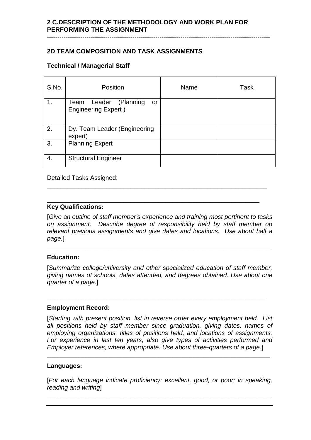**-----------------------------------------------------------------------------------------------------------**

# **2D TEAM COMPOSITION AND TASK ASSIGNMENTS**

## **Technical / Managerial Staff**

| S.No. | Position                                                   | Name | Task |
|-------|------------------------------------------------------------|------|------|
| 1.    | Team Leader (Planning<br>or<br><b>Engineering Expert</b> ) |      |      |
| 2.    | Dy. Team Leader (Engineering<br>expert)                    |      |      |
| 3.    | <b>Planning Expert</b>                                     |      |      |
| 4.    | <b>Structural Engineer</b>                                 |      |      |

Detailed Tasks Assigned:

#### \_\_\_\_\_\_\_\_\_\_\_\_\_\_\_\_\_\_\_\_\_\_\_\_\_\_\_\_\_\_\_\_\_\_\_\_\_\_\_\_\_\_\_\_\_\_\_\_\_\_\_\_\_\_\_\_\_\_\_\_\_ **Key Qualifications:**

[*Give an outline of staff member's experience and training most pertinent to tasks on assignment. Describe degree of responsibility held by staff member on relevant previous assignments and give dates and locations. Use about half a page.*]

\_\_\_\_\_\_\_\_\_\_\_\_\_\_\_\_\_\_\_\_\_\_\_\_\_\_\_\_\_\_\_\_\_\_\_\_\_\_\_\_\_\_\_\_\_\_\_\_\_\_\_\_\_\_\_\_\_\_\_\_\_\_\_

\_\_\_\_\_\_\_\_\_\_\_\_\_\_\_\_\_\_\_\_\_\_\_\_\_\_\_\_\_\_\_\_\_\_\_\_\_\_\_\_\_\_\_\_\_\_\_\_\_\_\_\_\_\_\_\_\_\_\_\_\_\_\_\_

\_\_\_\_\_\_\_\_\_\_\_\_\_\_\_\_\_\_\_\_\_\_\_\_\_\_\_\_\_\_\_\_\_\_\_\_\_\_\_\_\_\_\_\_\_\_\_\_\_\_\_\_\_\_\_\_\_\_\_\_\_\_\_

\_\_\_\_\_\_\_\_\_\_\_\_\_\_\_\_\_\_\_\_\_\_\_\_\_\_\_\_\_\_\_\_\_\_\_\_\_\_\_\_\_\_\_\_\_\_\_\_\_\_\_\_\_\_\_\_\_\_\_\_\_\_\_\_

#### **Education:**

[*Summarize college/university and other specialized education of staff member, giving names of schools, dates attended, and degrees obtained. Use about one quarter of a page.*]

## **Employment Record:**

[*Starting with present position, list in reverse order every employment held. List all positions held by staff member since graduation, giving dates, names of employing organizations, titles of positions held, and locations of assignments. For experience in last ten years, also give types of activities performed and Employer references, where appropriate. Use about three-quarters of a page.*]

#### **Languages:**

[*For each language indicate proficiency: excellent, good, or poor; in speaking, reading and writing*]

\_\_\_\_\_\_\_\_\_\_\_\_\_\_\_\_\_\_\_\_\_\_\_\_\_\_\_\_\_\_\_\_\_\_\_\_\_\_\_\_\_\_\_\_\_\_\_\_\_\_\_\_\_\_\_\_\_\_\_\_\_\_\_\_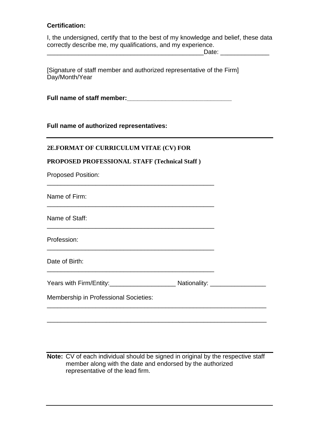## **Certification:**

I, the undersigned, certify that to the best of my knowledge and belief, these data correctly describe me, my qualifications, and my experience.

\_\_\_\_\_\_\_\_\_\_\_\_\_\_\_\_\_\_\_\_\_\_\_\_\_\_\_\_\_\_\_\_\_\_\_\_\_\_\_\_\_\_\_\_\_Date: \_\_\_\_\_\_\_\_\_\_\_\_\_\_

[Signature of staff member and authorized representative of the Firm] Day/Month/Year

Full name of staff member:

## **Full name of authorized representatives:**

## **2E.FORMAT OF CURRICULUM VITAE (CV) FOR**

## **PROPOSED PROFESSIONAL STAFF (Technical Staff )**

| Name of Firm:                         |  |  |
|---------------------------------------|--|--|
|                                       |  |  |
| Name of Staff:                        |  |  |
| Profession:                           |  |  |
| Date of Birth:                        |  |  |
|                                       |  |  |
| Membership in Professional Societies: |  |  |

**Note:** CV of each individual should be signed in original by the respective staff member along with the date and endorsed by the authorized representative of the lead firm.

\_\_\_\_\_\_\_\_\_\_\_\_\_\_\_\_\_\_\_\_\_\_\_\_\_\_\_\_\_\_\_\_\_\_\_\_\_\_\_\_\_\_\_\_\_\_\_\_\_\_\_\_\_\_\_\_\_\_\_\_\_\_\_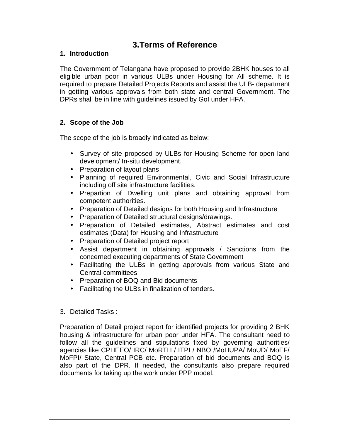# **3.Terms of Reference**

# **1. Introduction**

The Government of Telangana have proposed to provide 2BHK houses to all eligible urban poor in various ULBs under Housing for All scheme. It is required to prepare Detailed Projects Reports and assist the ULB- department in getting various approvals from both state and central Government. The DPRs shall be in line with guidelines issued by GoI under HFA.

# **2. Scope of the Job**

The scope of the job is broadly indicated as below:

- Survey of site proposed by ULBs for Housing Scheme for open land development/ In-situ development.
- Preparation of layout plans
- Planning of required Environmental, Civic and Social Infrastructure including off site infrastructure facilities.
- Prepartion of Dwelling unit plans and obtaining approval from competent authorities.
- Preparation of Detailed designs for both Housing and Infrastructure
- Preparation of Detailed structural designs/drawings.
- Preparation of Detailed estimates, Abstract estimates and cost estimates (Data) for Housing and Infrastructure
- Preparation of Detailed project report
- Assist department in obtaining approvals / Sanctions from the concerned executing departments of State Government
- Facilitating the ULBs in getting approvals from various State and Central committees
- Preparation of BOQ and Bid documents
- Facilitating the ULBs in finalization of tenders.
- 3. Detailed Tasks :

Preparation of Detail project report for identified projects for providing 2 BHK housing & infrastructure for urban poor under HFA. The consultant need to follow all the guidelines and stipulations fixed by governing authorities/ agencies like CPHEEO/ IRC/ MoRTH / ITPI / NBO /MoHUPA/ MoUD/ MoEF/ MoFPI/ State, Central PCB etc. Preparation of bid documents and BOQ is also part of the DPR. If needed, the consultants also prepare required documents for taking up the work under PPP model.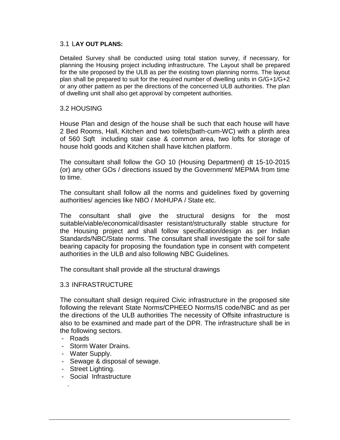#### 3.1 L**AY OUT PLANS:**

Detailed Survey shall be conducted using total station survey, if necessary, for planning the Housing project including infrastructure. The Layout shall be prepared for the site proposed by the ULB as per the existing town planning norms. The layout plan shall be prepared to suit for the required number of dwelling units in G/G+1/G+2 or any other pattern as per the directions of the concerned ULB authorities. The plan of dwelling unit shall also get approval by competent authorities.

#### 3.2 HOUSING

House Plan and design of the house shall be such that each house will have 2 Bed Rooms, Hall, Kitchen and two toilets(bath-cum-WC) with a plinth area of 560 Sqft including stair case & common area, two lofts for storage of house hold goods and Kitchen shall have kitchen platform.

The consultant shall follow the GO 10 (Housing Department) dt 15-10-2015 (or) any other GOs / directions issued by the Government/ MEPMA from time to time.

The consultant shall follow all the norms and guidelines fixed by governing authorities/ agencies like NBO / MoHUPA / State etc.

The consultant shall give the structural designs for the most suitable/viable/economical/disaster resistant/structurally stable structure for the Housing project and shall follow specification/design as per Indian Standards/NBC/State norms. The consultant shall investigate the soil for safe bearing capacity for proposing the foundation type in consent with competent authorities in the ULB and also following NBC Guidelines.

The consultant shall provide all the structural drawings

### 3.3 INFRASTRUCTURE

The consultant shall design required Civic infrastructure in the proposed site following the relevant State Norms/CPHEEO Norms/IS code/NBC and as per the directions of the ULB authorities The necessity of Offsite infrastructure is also to be examined and made part of the DPR. The infrastructure shall be in the following sectors.

- Roads

.

- Storm Water Drains.
- Water Supply.
- Sewage & disposal of sewage.
- Street Lighting.
- Social Infrastructure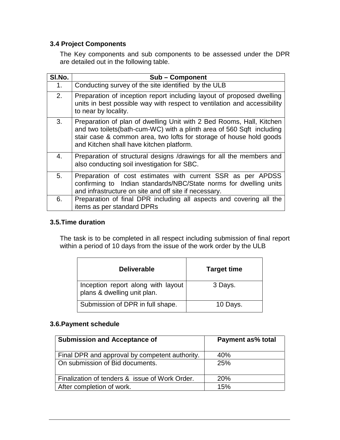# **3.4 Project Components**

The Key components and sub components to be assessed under the DPR are detailed out in the following table.

| SI.No. | <b>Sub-Component</b>                                                                                                                                                                                                                                              |
|--------|-------------------------------------------------------------------------------------------------------------------------------------------------------------------------------------------------------------------------------------------------------------------|
| 1.     | Conducting survey of the site identified by the ULB                                                                                                                                                                                                               |
| 2.     | Preparation of inception report including layout of proposed dwelling<br>units in best possible way with respect to ventilation and accessibility<br>to near by locality.                                                                                         |
| 3.     | Preparation of plan of dwelling Unit with 2 Bed Rooms, Hall, Kitchen<br>and two toilets (bath-cum-WC) with a plinth area of 560 Sqft including<br>stair case & common area, two lofts for storage of house hold goods<br>and Kitchen shall have kitchen platform. |
| 4.     | Preparation of structural designs /drawings for all the members and<br>also conducting soil investigation for SBC.                                                                                                                                                |
| 5.     | Preparation of cost estimates with current SSR as per APDSS<br>confirming to Indian standards/NBC/State norms for dwelling units<br>and infrastructure on site and off site if necessary.                                                                         |
| 6.     | Preparation of final DPR including all aspects and covering all the<br>items as per standard DPRs                                                                                                                                                                 |

## **3.5.Time duration**

The task is to be completed in all respect including submission of final report within a period of 10 days from the issue of the work order by the ULB

| <b>Deliverable</b>                                                | <b>Target time</b> |
|-------------------------------------------------------------------|--------------------|
| Inception report along with layout<br>plans & dwelling unit plan. | 3 Days.            |
| Submission of DPR in full shape.                                  | 10 Days.           |

# **3.6.Payment schedule**

| <b>Submission and Acceptance of</b>            | Payment as% total |
|------------------------------------------------|-------------------|
| Final DPR and approval by competent authority. | 40%               |
| On submission of Bid documents.                | 25%               |
| Finalization of tenders & issue of Work Order. | <b>20%</b>        |
| After completion of work.                      | 15%               |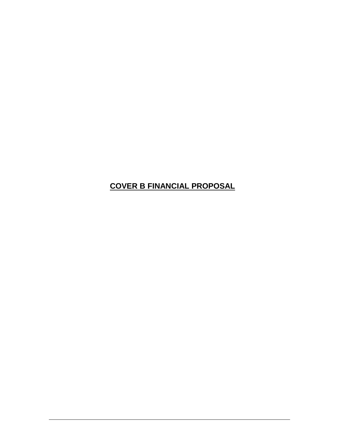# **COVER B FINANCIAL PROPOSAL**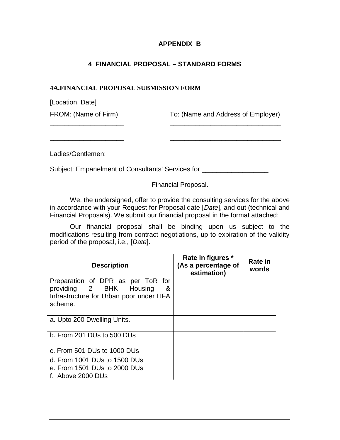## **APPENDIX B**

# **4 FINANCIAL PROPOSAL – STANDARD FORMS**

#### **4A.FINANCIAL PROPOSAL SUBMISSION FORM**

[Location, Date] FROM: (Name of Firm) To: (Name and Address of Employer) \_\_\_\_\_\_\_\_\_\_\_\_\_\_\_\_\_\_\_\_ \_\_\_\_\_\_\_\_\_\_\_\_\_\_\_\_\_\_\_\_\_\_\_\_\_\_\_\_\_\_ Ladies/Gentlemen: Subject: Empanelment of Consultants' Services for \_\_\_\_\_\_\_\_\_\_\_\_\_\_\_\_\_\_\_\_\_\_\_\_\_\_\_\_\_\_ \_\_\_\_\_\_\_\_\_\_\_\_\_\_\_\_\_\_\_\_\_\_\_\_\_\_\_ Financial Proposal.

We, the undersigned, offer to provide the consulting services for the above in accordance with your Request for Proposal date [*Date*], and out (technical and Financial Proposals). We submit our financial proposal in the format attached:

Our financial proposal shall be binding upon us subject to the modifications resulting from contract negotiations, up to expiration of the validity period of the proposal, i.e., [*Date*].

| <b>Description</b>                                                                                                      | Rate in figures *<br>(As a percentage of<br>estimation) | Rate in<br>words |  |
|-------------------------------------------------------------------------------------------------------------------------|---------------------------------------------------------|------------------|--|
| Preparation of DPR as per ToR for<br>providing 2 BHK Housing<br>&<br>Infrastructure for Urban poor under HFA<br>scheme. |                                                         |                  |  |
| a. Upto 200 Dwelling Units.                                                                                             |                                                         |                  |  |
| b. From 201 DUs to 500 DUs                                                                                              |                                                         |                  |  |
| c. From 501 DUs to 1000 DUs                                                                                             |                                                         |                  |  |
| d. From 1001 DUs to 1500 DUs                                                                                            |                                                         |                  |  |
| e. From 1501 DUs to 2000 DUs                                                                                            |                                                         |                  |  |
| f. Above 2000 DUs                                                                                                       |                                                         |                  |  |